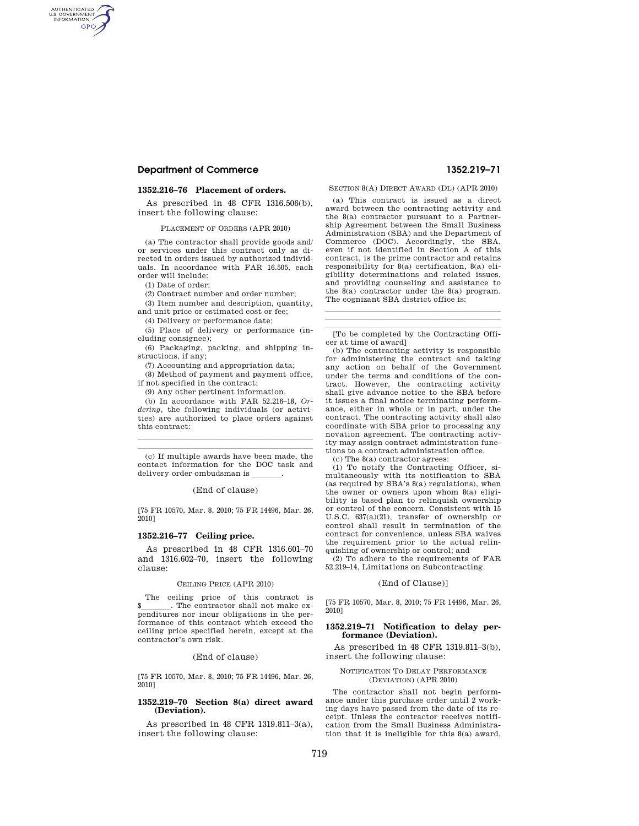## **Department of Commerce 1352.219–71**

AUTHENTICATED<br>U.S. GOVERNMENT<br>INFORMATION **GPO** 

## **1352.216–76 Placement of orders.**

As prescribed in 48 CFR 1316.506(b), insert the following clause:

PLACEMENT OF ORDERS (APR 2010)

(a) The contractor shall provide goods and/ or services under this contract only as directed in orders issued by authorized individuals. In accordance with FAR 16.505, each order will include:

(1) Date of order;

(2) Contract number and order number;

(3) Item number and description, quantity,

and unit price or estimated cost or fee;

(4) Delivery or performance date;

(5) Place of delivery or performance (including consignee);

(6) Packaging, packing, and shipping instructions, if any;

(7) Accounting and appropriation data;

(8) Method of payment and payment office, if not specified in the contract;

(9) Any other pertinent information.

(b) In accordance with FAR 52.216–18, *Ordering,* the following individuals (or activities) are authorized to place orders against this contract:

 $\overline{\phantom{a}}$  (c) If multiple awards have been made, the contact information for the DOC task and delivery order ombudsman is

llland i senator and a senator and a senator and a senator and a senator and a senator and

(End of clause)

[75 FR 10570, Mar. 8, 2010; 75 FR 14496, Mar. 26, 2010]

#### **1352.216–77 Ceiling price.**

As prescribed in 48 CFR 1316.601–70 and 1316.602–70, insert the following clause:

### CEILING PRICE (APR 2010)

The ceiling price of this contract is \$\_\_\_\_\_\_\_\_. The contractor shall not make expenditures nor incur obligations in the performance of this contract which exceed the ceiling price specified herein, except at the contractor's own risk.

(End of clause)

[75 FR 10570, Mar. 8, 2010; 75 FR 14496, Mar. 26, 2010]

#### **1352.219–70 Section 8(a) direct award (Deviation).**

As prescribed in 48 CFR 1319.811–3(a), insert the following clause:

#### SECTION 8(A) DIRECT AWARD (DL) (APR 2010)

(a) This contract is issued as a direct award between the contracting activity and the 8(a) contractor pursuant to a Partnership Agreement between the Small Business Administration (SBA) and the Department of Commerce (DOC). Accordingly, the SBA, even if not identified in Section A of this contract, is the prime contractor and retains responsibility for 8(a) certification, 8(a) eligibility determinations and related issues, and providing counseling and assistance to the 8(a) contractor under the 8(a) program. The cognizant SBA district office is:

lllalla sin anno 1980. I se anno 1980 anno 1980 anno 1980 anno 1980 anno 1980 anno 1980. [To be completed by the Contracting Officer at time of award]

llland av den stadsmannsna og stadsmannsna og stadsmannsna og stadsmannsna og stadsmannsna og stadsmannsna og

(b) The contracting activity is responsible for administering the contract and taking any action on behalf of the Government under the terms and conditions of the contract. However, the contracting activity shall give advance notice to the SBA before it issues a final notice terminating performance, either in whole or in part, under the contract. The contracting activity shall also coordinate with SBA prior to processing any novation agreement. The contracting activity may assign contract administration functions to a contract administration office.

(c) The 8(a) contractor agrees:

(1) To notify the Contracting Officer, simultaneously with its notification to SBA (as required by SBA's 8(a) regulations), when the owner or owners upon whom 8(a) eligibility is based plan to relinquish ownership or control of the concern. Consistent with 15 U.S.C. 637(a)(21), transfer of ownership or control shall result in termination of the contract for convenience, unless SBA waives the requirement prior to the actual relinquishing of ownership or control; and

(2) To adhere to the requirements of FAR 52.219–14, Limitations on Subcontracting.

## (End of Clause)]

[75 FR 10570, Mar. 8, 2010; 75 FR 14496, Mar. 26, 2010]

#### **1352.219–71 Notification to delay performance (Deviation).**

As prescribed in 48 CFR 1319.811–3(b), insert the following clause:

#### NOTIFICATION TO DELAY PERFORMANCE (DEVIATION) (APR 2010)

The contractor shall not begin performance under this purchase order until 2 working days have passed from the date of its receipt. Unless the contractor receives notification from the Small Business Administration that it is ineligible for this 8(a) award,